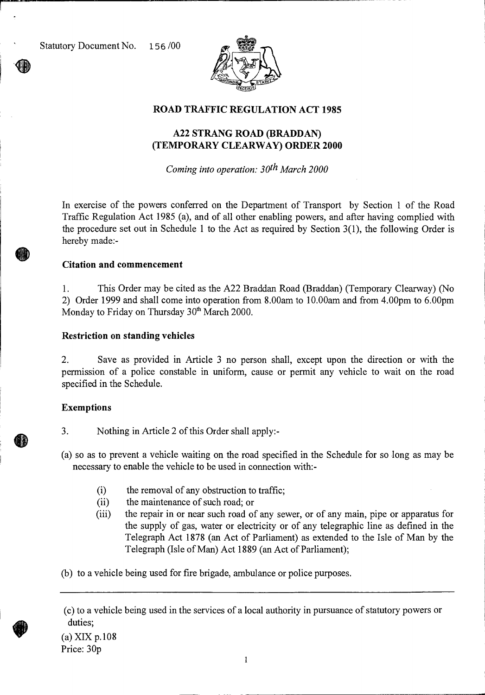Statutory Document No. 156 /00



#### **ROAD TRAFFIC REGULATION ACT 1985**

### **A22 STRANG ROAD (BRADDAN) (TEMPORARY CLEARWAY) ORDER 2000**

*Coming into operation: 30th March 2000* 

In exercise of the powers conferred on the Department of Transport by Section 1 of the Road Traffic Regulation Act 1985 (a), and of all other enabling powers, and after having complied with the procedure set out in Schedule 1 to the Act as required by Section 3(1), the following Order is hereby made:-

#### **Citation and commencement**

1. This Order may be cited as the A22 Braddan Road (Braddan) (Temporary Clearway) (No 2) Order 1999 and shall come into operation from 8.00am to 10.00am and from 4.00pm to 6.00pm Monday to Friday on Thursday 30<sup>th</sup> March 2000.

#### **Restriction on standing vehicles**

2. Save as provided in Article 3 no person shall, except upon the direction or with the permission of a police constable in uniform, cause or permit any vehicle to wait on the road specified in the Schedule.

#### **Exemptions**

3. Nothing in Article 2 of this Order shall apply:-

(a) so as to prevent a vehicle waiting on the road specified in the Schedule for so long as may be necessary to enable the vehicle to be used in connection with:-

- (i) the removal of any obstruction to traffic;<br>(ii) the maintenance of such road; or
- the maintenance of such road; or
- (iii) the repair in or near such road of any sewer, or of any main, pipe or apparatus for the supply of gas, water or electricity or of any telegraphic line as defined in the Telegraph Act 1878 (an Act of Parliament) as extended to the Isle of Man by the Telegraph (Isle of Man) Act 1889 (an Act of Parliament);

(b) to a vehicle being used for fire brigade, ambulance or police purposes.

(a) XIX p.108 Price: 30p

<sup>(</sup>c) to a vehicle being used in the services of a local authority in pursuance of statutory powers or duties;